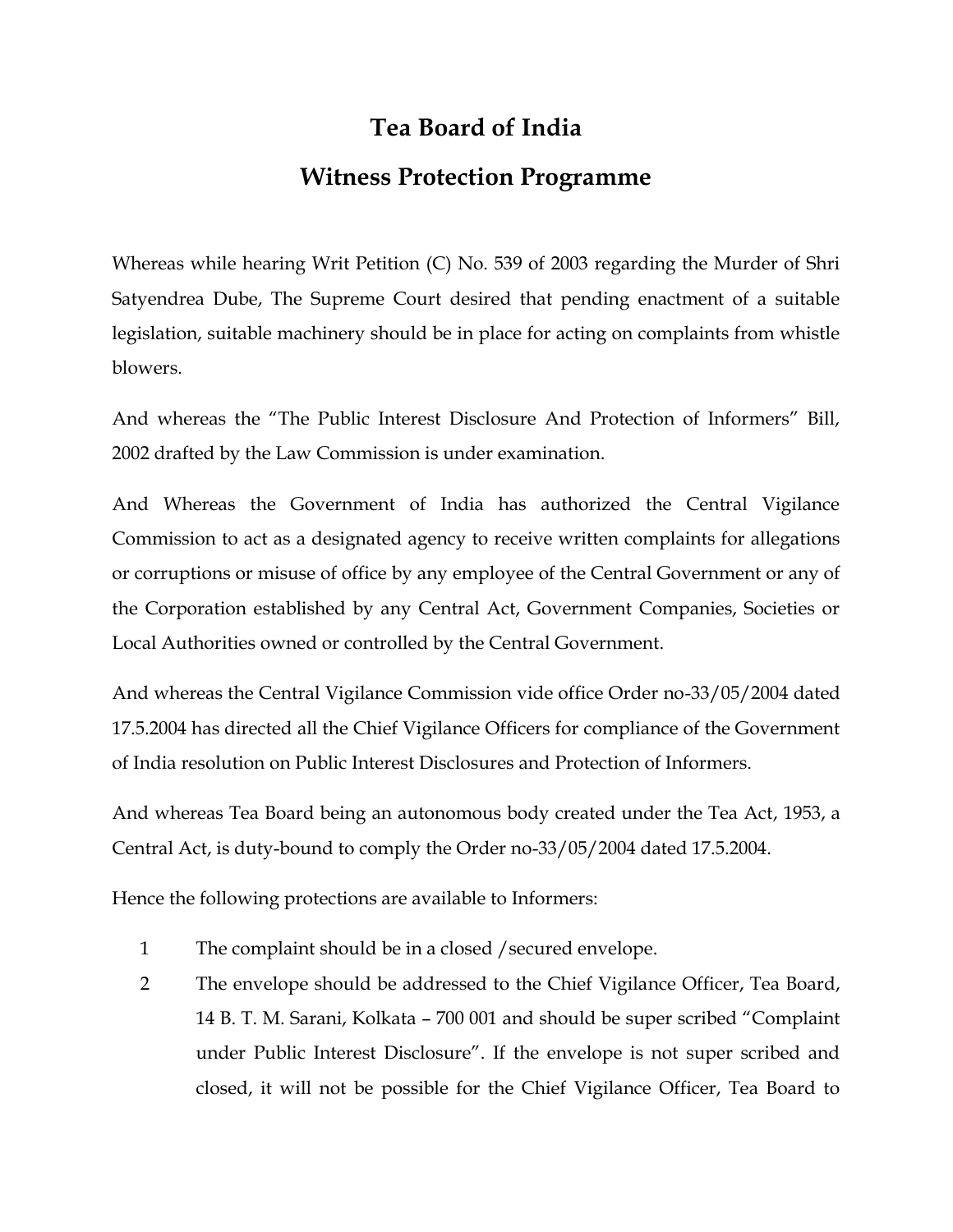## **Tea Board of India Witness Protection Programme**

Whereas while hearing Writ Petition (C) No. 539 of 2003 regarding the Murder of Shri Satyendrea Dube, The Supreme Court desired that pending enactment of a suitable legislation, suitable machinery should be in place for acting on complaints from whistle blowers.

And whereas the "The Public Interest Disclosure And Protection of Informers" Bill, 2002 drafted by the Law Commission is under examination.

And Whereas the Government of India has authorized the Central Vigilance Commission to act as a designated agency to receive written complaints for allegations or corruptions or misuse of office by any employee of the Central Government or any of the Corporation established by any Central Act, Government Companies, Societies or Local Authorities owned or controlled by the Central Government.

And whereas the Central Vigilance Commission vide office Order no-33/05/2004 dated 17.5.2004 has directed all the Chief Vigilance Officers for compliance of the Government of India resolution on Public Interest Disclosures and Protection of Informers.

And whereas Tea Board being an autonomous body created under the Tea Act, 1953, a Central Act, is duty-bound to comply the Order no-33/05/2004 dated 17.5.2004.

Hence the following protections are available to Informers:

- 1 The complaint should be in a closed /secured envelope.
- 2 The envelope should be addressed to the Chief Vigilance Officer, Tea Board, 14 B. T. M. Sarani, Kolkata – 700 001 and should be super scribed "Complaint under Public Interest Disclosure". If the envelope is not super scribed and closed, it will not be possible for the Chief Vigilance Officer, Tea Board to